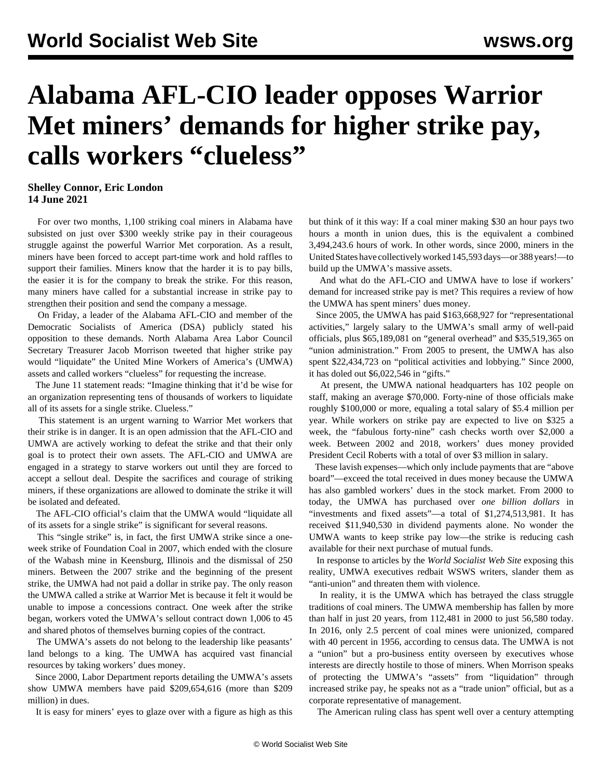## **Alabama AFL-CIO leader opposes Warrior Met miners' demands for higher strike pay, calls workers "clueless"**

## **Shelley Connor, Eric London 14 June 2021**

 For over two months, 1,100 striking coal miners in Alabama have subsisted on just over \$300 weekly strike pay in their courageous struggle against the powerful Warrior Met corporation. As a result, miners have been forced to accept part-time work and hold raffles to support their families. Miners know that the harder it is to pay bills, the easier it is for the company to break the strike. For this reason, many miners have called for a substantial increase in strike pay to strengthen their position and send the company a message.

 On Friday, a leader of the Alabama AFL-CIO and member of the Democratic Socialists of America (DSA) publicly stated his opposition to these demands. North Alabama Area Labor Council Secretary Treasurer Jacob Morrison tweeted that higher strike pay would "liquidate" the United Mine Workers of America's (UMWA) assets and called workers "clueless" for requesting the increase.

 The June 11 statement reads: "Imagine thinking that it'd be wise for an organization representing tens of thousands of workers to liquidate all of its assets for a single strike. Clueless."

 This statement is an urgent warning to Warrior Met workers that their strike is in danger. It is an open admission that the AFL-CIO and UMWA are actively working to defeat the strike and that their only goal is to protect their own assets. The AFL-CIO and UMWA are engaged in a strategy to starve workers out until they are forced to accept a sellout deal. Despite the sacrifices and courage of striking miners, if these organizations are allowed to dominate the strike it will be isolated and defeated.

 The AFL-CIO official's claim that the UMWA would "liquidate all of its assets for a single strike" is significant for several reasons.

 This "single strike" is, in fact, the first UMWA strike since a oneweek strike of Foundation Coal in 2007, which ended with the closure of the Wabash mine in Keensburg, Illinois and the dismissal of 250 miners. Between the 2007 strike and the beginning of the present strike, the UMWA had not paid a dollar in strike pay. The only reason the UMWA called a strike at Warrior Met is because it felt it would be unable to impose a concessions contract. One week after the strike began, workers voted the UMWA's sellout contract down 1,006 to 45 and shared photos of themselves burning copies of the contract.

 The UMWA's assets do not belong to the leadership like peasants' land belongs to a king. The UMWA has acquired vast financial resources by taking workers' dues money.

 Since 2000, Labor Department reports detailing the UMWA's assets show UMWA members have paid \$209,654,616 (more than \$209 million) in dues.

It is easy for miners' eyes to glaze over with a figure as high as this

but think of it this way: If a coal miner making \$30 an hour pays two hours a month in union dues, this is the equivalent a combined 3,494,243.6 hours of work. In other words, since 2000, miners in the United States have collectively worked 145,593 days—or 388 years!—to build up the UMWA's massive assets.

 And what do the AFL-CIO and UMWA have to lose if workers' demand for increased strike pay is met? This requires a review of how the UMWA has spent miners' dues money.

 Since 2005, the UMWA has paid \$163,668,927 for "representational activities," largely salary to the UMWA's small army of well-paid officials, plus \$65,189,081 on "general overhead" and \$35,519,365 on "union administration." From 2005 to present, the UMWA has also spent \$22,434,723 on "political activities and lobbying." Since 2000, it has doled out \$6,022,546 in "gifts."

 At present, the UMWA national headquarters has 102 people on staff, making an average \$70,000. Forty-nine of those officials make roughly \$100,000 or more, equaling a total salary of \$5.4 million per year. While workers on strike pay are expected to live on \$325 a week, the "fabulous forty-nine" cash checks worth over \$2,000 a week. Between 2002 and 2018, workers' dues money provided President Cecil Roberts with a total of over \$3 million in salary.

 These lavish expenses—which only include payments that are "above board"—exceed the total received in dues money because the UMWA has also gambled workers' dues in the stock market. From 2000 to today, the UMWA has purchased over *one billion dollars* in "investments and fixed assets"—a total of \$1,274,513,981. It has received \$11,940,530 in dividend payments alone. No wonder the UMWA wants to keep strike pay low—the strike is reducing cash available for their next purchase of mutual funds.

 In response to articles by the *World Socialist Web Site* exposing this reality, UMWA executives redbait WSWS writers, slander them as "anti-union" and threaten them with violence.

 In reality, it is the UMWA which has betrayed the class struggle traditions of coal miners. The UMWA membership has fallen by more than half in just 20 years, from 112,481 in 2000 to just 56,580 today. In 2016, only 2.5 percent of coal mines were unionized, compared with 40 percent in 1956, according to census data. The UMWA is not a "union" but a pro-business entity overseen by executives whose interests are directly hostile to those of miners. When Morrison speaks of protecting the UMWA's "assets" from "liquidation" through increased strike pay, he speaks not as a "trade union" official, but as a corporate representative of management.

The American ruling class has spent well over a century attempting